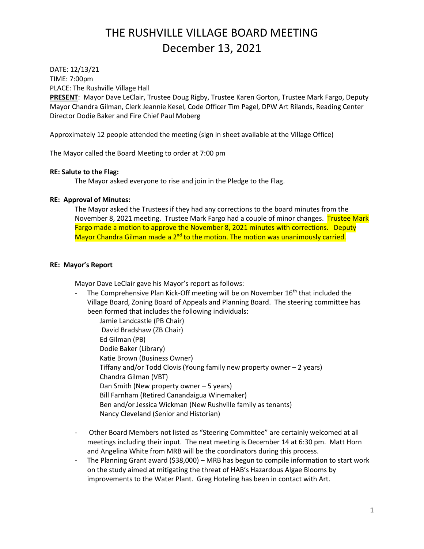DATE: 12/13/21 TIME: 7:00pm PLACE: The Rushville Village Hall

**PRESENT**: Mayor Dave LeClair, Trustee Doug Rigby, Trustee Karen Gorton, Trustee Mark Fargo, Deputy Mayor Chandra Gilman, Clerk Jeannie Kesel, Code Officer Tim Pagel, DPW Art Rilands, Reading Center Director Dodie Baker and Fire Chief Paul Moberg

Approximately 12 people attended the meeting (sign in sheet available at the Village Office)

The Mayor called the Board Meeting to order at 7:00 pm

## **RE: Salute to the Flag:**

The Mayor asked everyone to rise and join in the Pledge to the Flag.

## **RE: Approval of Minutes:**

The Mayor asked the Trustees if they had any corrections to the board minutes from the November 8, 2021 meeting. Trustee Mark Fargo had a couple of minor changes. Trustee Mark Fargo made a motion to approve the November 8, 2021 minutes with corrections. Deputy Mayor Chandra Gilman made a 2<sup>nd</sup> to the motion. The motion was unanimously carried.

## **RE: Mayor's Report**

Mayor Dave LeClair gave his Mayor's report as follows:

The Comprehensive Plan Kick-Off meeting will be on November 16<sup>th</sup> that included the Village Board, Zoning Board of Appeals and Planning Board. The steering committee has been formed that includes the following individuals:

Jamie Landcastle (PB Chair) David Bradshaw (ZB Chair) Ed Gilman (PB) Dodie Baker (Library) Katie Brown (Business Owner) Tiffany and/or Todd Clovis (Young family new property owner – 2 years) Chandra Gilman (VBT) Dan Smith (New property owner – 5 years) Bill Farnham (Retired Canandaigua Winemaker) Ben and/or Jessica Wickman (New Rushville family as tenants) Nancy Cleveland (Senior and Historian)

- Other Board Members not listed as "Steering Committee" are certainly welcomed at all meetings including their input. The next meeting is December 14 at 6:30 pm. Matt Horn and Angelina White from MRB will be the coordinators during this process.
- The Planning Grant award (\$38,000) MRB has begun to compile information to start work on the study aimed at mitigating the threat of HAB's Hazardous Algae Blooms by improvements to the Water Plant. Greg Hoteling has been in contact with Art.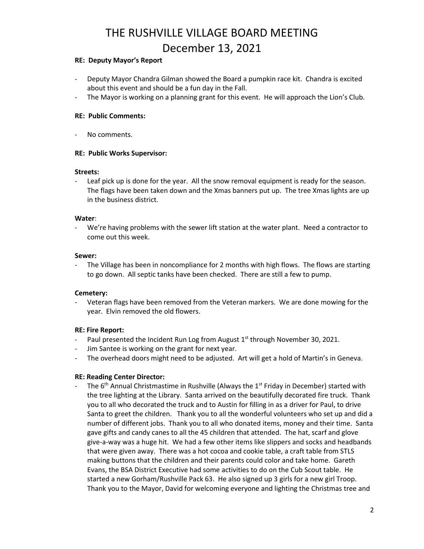## **RE: Deputy Mayor's Report**

- Deputy Mayor Chandra Gilman showed the Board a pumpkin race kit. Chandra is excited about this event and should be a fun day in the Fall.
- The Mayor is working on a planning grant for this event. He will approach the Lion's Club.

#### **RE: Public Comments:**

No comments.

### **RE: Public Works Supervisor:**

#### **Streets:**

- Leaf pick up is done for the year. All the snow removal equipment is ready for the season. The flags have been taken down and the Xmas banners put up. The tree Xmas lights are up in the business district.

### **Water**:

We're having problems with the sewer lift station at the water plant. Need a contractor to come out this week.

### **Sewer:**

The Village has been in noncompliance for 2 months with high flows. The flows are starting to go down. All septic tanks have been checked. There are still a few to pump.

## **Cemetery:**

Veteran flags have been removed from the Veteran markers. We are done mowing for the year. Elvin removed the old flowers.

## **RE: Fire Report:**

- Paul presented the Incident Run Log from August 1<sup>st</sup> through November 30, 2021.
- Jim Santee is working on the grant for next year.
- The overhead doors might need to be adjusted. Art will get a hold of Martin's in Geneva.

## **RE: Reading Center Director:**

The  $6<sup>th</sup>$  Annual Christmastime in Rushville (Always the 1st Friday in December) started with the tree lighting at the Library. Santa arrived on the beautifully decorated fire truck. Thank you to all who decorated the truck and to Austin for filling in as a driver for Paul, to drive Santa to greet the children. Thank you to all the wonderful volunteers who set up and did a number of different jobs. Thank you to all who donated items, money and their time. Santa gave gifts and candy canes to all the 45 children that attended. The hat, scarf and glove give-a-way was a huge hit. We had a few other items like slippers and socks and headbands that were given away. There was a hot cocoa and cookie table, a craft table from STLS making buttons that the children and their parents could color and take home. Gareth Evans, the BSA District Executive had some activities to do on the Cub Scout table. He started a new Gorham/Rushville Pack 63. He also signed up 3 girls for a new girl Troop. Thank you to the Mayor, David for welcoming everyone and lighting the Christmas tree and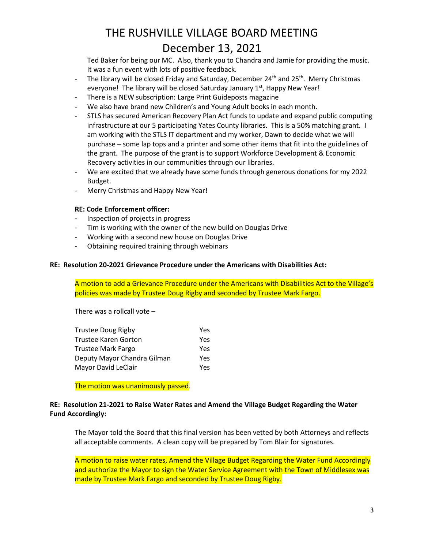Ted Baker for being our MC. Also, thank you to Chandra and Jamie for providing the music. It was a fun event with lots of positive feedback.

- The library will be closed Friday and Saturday, December  $24^{th}$  and  $25^{th}$ . Merry Christmas everyone! The library will be closed Saturday January 1<sup>st</sup>, Happy New Year!
- There is a NEW subscription: Large Print Guideposts magazine
- We also have brand new Children's and Young Adult books in each month.
- STLS has secured American Recovery Plan Act funds to update and expand public computing infrastructure at our 5 participating Yates County libraries. This is a 50% matching grant. I am working with the STLS IT department and my worker, Dawn to decide what we will purchase – some lap tops and a printer and some other items that fit into the guidelines of the grant. The purpose of the grant is to support Workforce Development & Economic Recovery activities in our communities through our libraries.
- We are excited that we already have some funds through generous donations for my 2022 Budget.
- Merry Christmas and Happy New Year!

### **RE: Code Enforcement officer:**

- Inspection of projects in progress
- Tim is working with the owner of the new build on Douglas Drive
- Working with a second new house on Douglas Drive
- Obtaining required training through webinars

### **RE: Resolution 20-2021 Grievance Procedure under the Americans with Disabilities Act:**

A motion to add a Grievance Procedure under the Americans with Disabilities Act to the Village's policies was made by Trustee Doug Rigby and seconded by Trustee Mark Fargo.

There was a rollcall vote –

| <b>Trustee Doug Rigby</b>   | Yes. |
|-----------------------------|------|
| Trustee Karen Gorton        | Yes. |
| Trustee Mark Fargo          | Yes. |
| Deputy Mayor Chandra Gilman | Yes. |
| Mayor David LeClair         | Yes. |

The motion was unanimously passed.

## **RE: Resolution 21-2021 to Raise Water Rates and Amend the Village Budget Regarding the Water Fund Accordingly:**

The Mayor told the Board that this final version has been vetted by both Attorneys and reflects all acceptable comments. A clean copy will be prepared by Tom Blair for signatures.

A motion to raise water rates, Amend the Village Budget Regarding the Water Fund Accordingly and authorize the Mayor to sign the Water Service Agreement with the Town of Middlesex was made by Trustee Mark Fargo and seconded by Trustee Doug Rigby.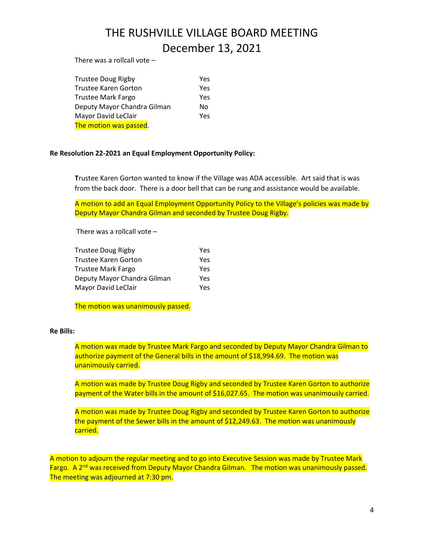There was a rollcall vote –

| <b>Trustee Doug Rigby</b>   | Yes |
|-----------------------------|-----|
| <b>Trustee Karen Gorton</b> | Yes |
| <b>Trustee Mark Fargo</b>   | Yes |
| Deputy Mayor Chandra Gilman | No. |
| Mayor David LeClair         | Yes |
| The motion was passed.      |     |

### **Re Resolution 22-2021 an Equal Employment Opportunity Policy:**

**T**rustee Karen Gorton wanted to know if the Village was ADA accessible. Art said that is was from the back door. There is a door bell that can be rung and assistance would be available.

A motion to add an Equal Employment Opportunity Policy to the Village's policies was made by Deputy Mayor Chandra Gilman and seconded by Trustee Doug Rigby.

There was a rollcall vote –

| Trustee Doug Rigby          | Yes |
|-----------------------------|-----|
| Trustee Karen Gorton        | Yes |
| Trustee Mark Fargo          | Yes |
| Deputy Mayor Chandra Gilman | Yes |
| Mayor David LeClair         | Yes |

The motion was unanimously passed.

### **Re Bills:**

A motion was made by Trustee Mark Fargo and seconded by Deputy Mayor Chandra Gilman to authorize payment of the General bills in the amount of \$18,994.69. The motion was unanimously carried.

A motion was made by Trustee Doug Rigby and seconded by Trustee Karen Gorton to authorize payment of the Water bills in the amount of \$16,027.65. The motion was unanimously carried.

A motion was made by Trustee Doug Rigby and seconded by Trustee Karen Gorton to authorize the payment of the Sewer bills in the amount of \$12,249.63. The motion was unanimously carried.

A motion to adjourn the regular meeting and to go into Executive Session was made by Trustee Mark Fargo. A 2<sup>nd</sup> was received from Deputy Mayor Chandra Gilman. The motion was unanimously passed. The meeting was adjourned at 7:30 pm.